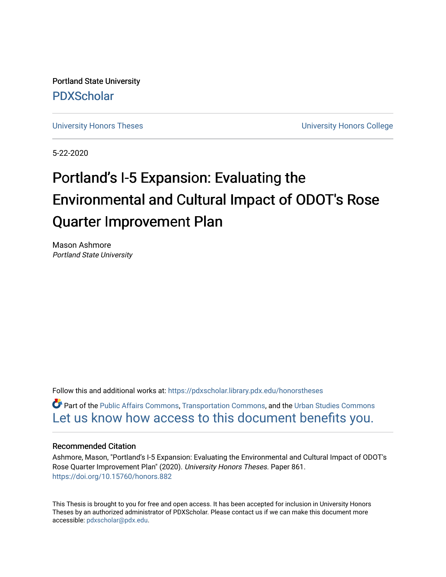Portland State University [PDXScholar](https://pdxscholar.library.pdx.edu/)

[University Honors Theses](https://pdxscholar.library.pdx.edu/honorstheses) **University Honors College** 

5-22-2020

# Portland's I-5 Expansion: Evaluating the Environmental and Cultural Impact of ODOT's Rose Quarter Improvement Plan

Mason Ashmore Portland State University

Follow this and additional works at: [https://pdxscholar.library.pdx.edu/honorstheses](https://pdxscholar.library.pdx.edu/honorstheses?utm_source=pdxscholar.library.pdx.edu%2Fhonorstheses%2F861&utm_medium=PDF&utm_campaign=PDFCoverPages) 

Part of the [Public Affairs Commons,](http://network.bepress.com/hgg/discipline/399?utm_source=pdxscholar.library.pdx.edu%2Fhonorstheses%2F861&utm_medium=PDF&utm_campaign=PDFCoverPages) [Transportation Commons](http://network.bepress.com/hgg/discipline/1068?utm_source=pdxscholar.library.pdx.edu%2Fhonorstheses%2F861&utm_medium=PDF&utm_campaign=PDFCoverPages), and the [Urban Studies Commons](http://network.bepress.com/hgg/discipline/402?utm_source=pdxscholar.library.pdx.edu%2Fhonorstheses%2F861&utm_medium=PDF&utm_campaign=PDFCoverPages)  [Let us know how access to this document benefits you.](http://library.pdx.edu/services/pdxscholar-services/pdxscholar-feedback/) 

#### Recommended Citation

Ashmore, Mason, "Portland's I-5 Expansion: Evaluating the Environmental and Cultural Impact of ODOT's Rose Quarter Improvement Plan" (2020). University Honors Theses. Paper 861. <https://doi.org/10.15760/honors.882>

This Thesis is brought to you for free and open access. It has been accepted for inclusion in University Honors Theses by an authorized administrator of PDXScholar. Please contact us if we can make this document more accessible: [pdxscholar@pdx.edu.](mailto:pdxscholar@pdx.edu)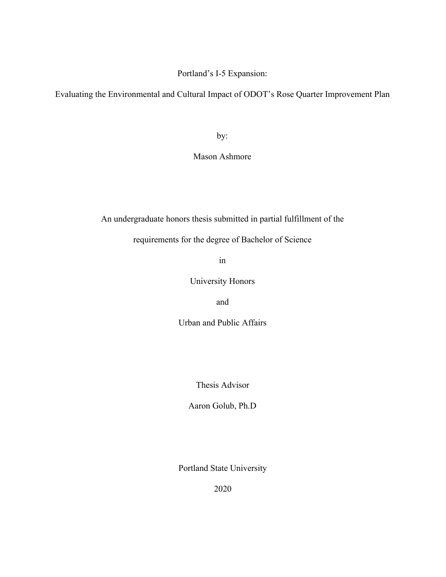# Portland's I-5 Expansion:

Evaluating the Environmental and Cultural Impact of ODOT's Rose Quarter Improvement Plan

by:

Mason Ashmore

An undergraduate honors thesis submitted in partial fulfillment of the

requirements for the degree of Bachelor of Science

in

University Honors

and

Urban and Public Affairs

Thesis Advisor

Aaron Golub, Ph.D

Portland State University

2020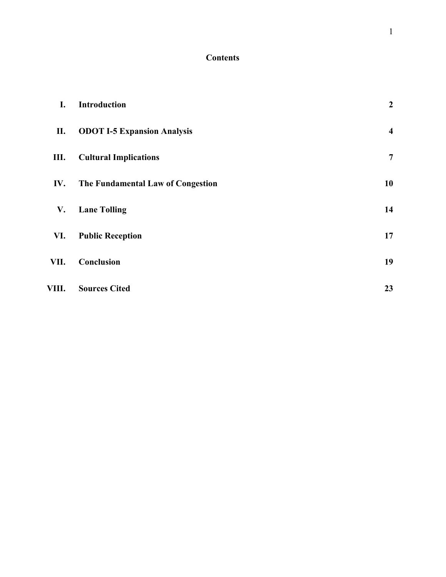# **Contents**

| I.    | <b>Introduction</b>                | $\boldsymbol{2}$        |
|-------|------------------------------------|-------------------------|
| П.    | <b>ODOT I-5 Expansion Analysis</b> | $\overline{\mathbf{4}}$ |
| Ш.    | <b>Cultural Implications</b>       | $\overline{7}$          |
| IV.   | The Fundamental Law of Congestion  | 10                      |
| V.    | <b>Lane Tolling</b>                | 14                      |
| VI.   | <b>Public Reception</b>            | 17                      |
| VII.  | Conclusion                         | 19                      |
| VIII. | <b>Sources Cited</b>               | 23                      |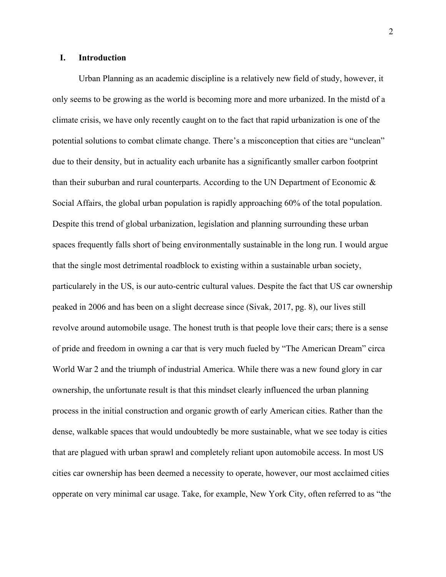# <span id="page-3-0"></span>**I. Introduction**

Urban Planning as an academic discipline is a relatively new field of study, however, it only seems to be growing as the world is becoming more and more urbanized. In the mistd of a climate crisis, we have only recently caught on to the fact that rapid urbanization is one of the potential solutions to combat climate change. There's a misconception that cities are "unclean" due to their density, but in actuality each urbanite has a significantly smaller carbon footprint than their suburban and rural counterparts. According to the UN Department of Economic & Social Affairs, the global urban population is rapidly approaching 60% of the total population. Despite this trend of global urbanization, legislation and planning surrounding these urban spaces frequently falls short of being environmentally sustainable in the long run. I would argue that the single most detrimental roadblock to existing within a sustainable urban society, particularely in the US, is our auto-centric cultural values. Despite the fact that US car ownership peaked in 2006 and has been on a slight decrease since (Sivak, 2017, pg. 8), our lives still revolve around automobile usage. The honest truth is that people love their cars; there is a sense of pride and freedom in owning a car that is very much fueled by "The American Dream" circa World War 2 and the triumph of industrial America. While there was a new found glory in car ownership, the unfortunate result is that this mindset clearly influenced the urban planning process in the initial construction and organic growth of early American cities. Rather than the dense, walkable spaces that would undoubtedly be more sustainable, what we see today is cities that are plagued with urban sprawl and completely reliant upon automobile access. In most US cities car ownership has been deemed a necessity to operate, however, our most acclaimed cities opperate on very minimal car usage. Take, for example, New York City, often referred to as "the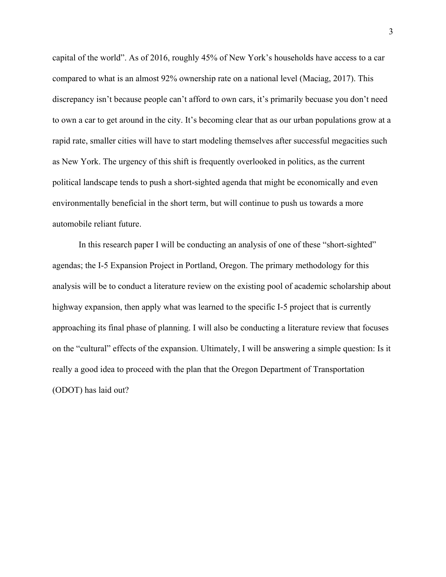capital of the world". As of 2016, roughly 45% of New York's households have access to a car compared to what is an almost 92% ownership rate on a national level (Maciag, 2017). This discrepancy isn't because people can't afford to own cars, it's primarily becuase you don't need to own a car to get around in the city. It's becoming clear that as our urban populations grow at a rapid rate, smaller cities will have to start modeling themselves after successful megacities such as New York. The urgency of this shift is frequently overlooked in politics, as the current political landscape tends to push a short-sighted agenda that might be economically and even environmentally beneficial in the short term, but will continue to push us towards a more automobile reliant future.

In this research paper I will be conducting an analysis of one of these "short-sighted" agendas; the I-5 Expansion Project in Portland, Oregon. The primary methodology for this analysis will be to conduct a literature review on the existing pool of academic scholarship about highway expansion, then apply what was learned to the specific I-5 project that is currently approaching its final phase of planning. I will also be conducting a literature review that focuses on the "cultural" effects of the expansion. Ultimately, I will be answering a simple question: Is it really a good idea to proceed with the plan that the Oregon Department of Transportation (ODOT) has laid out?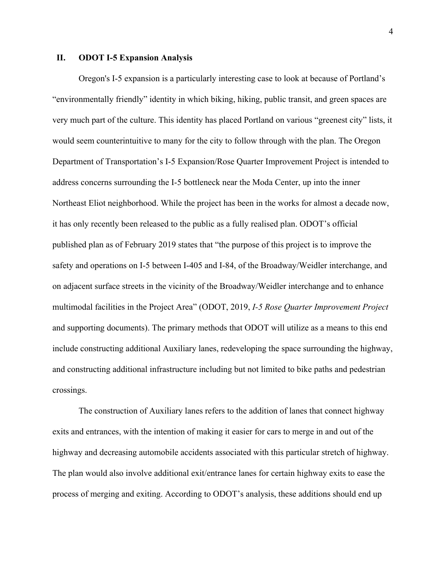#### <span id="page-5-0"></span>**II. ODOT I-5 Expansion Analysis**

Oregon's I-5 expansion is a particularly interesting case to look at because of Portland's "environmentally friendly" identity in which biking, hiking, public transit, and green spaces are very much part of the culture. This identity has placed Portland on various "greenest city" lists, it would seem counterintuitive to many for the city to follow through with the plan. The Oregon Department of Transportation's I-5 Expansion/Rose Quarter Improvement Project is intended to address concerns surrounding the I-5 bottleneck near the Moda Center, up into the inner Northeast Eliot neighborhood. While the project has been in the works for almost a decade now, it has only recently been released to the public as a fully realised plan. ODOT's official published plan as of February 2019 states that "the purpose of this project is to improve the safety and operations on I-5 between I-405 and I-84, of the Broadway/Weidler interchange, and on adjacent surface streets in the vicinity of the Broadway/Weidler interchange and to enhance multimodal facilities in the Project Area" (ODOT, 2019, *I-5 Rose Quarter Improvement Project* and supporting documents). The primary methods that ODOT will utilize as a means to this end include constructing additional Auxiliary lanes, redeveloping the space surrounding the highway, and constructing additional infrastructure including but not limited to bike paths and pedestrian crossings.

The construction of Auxiliary lanes refers to the addition of lanes that connect highway exits and entrances, with the intention of making it easier for cars to merge in and out of the highway and decreasing automobile accidents associated with this particular stretch of highway. The plan would also involve additional exit/entrance lanes for certain highway exits to ease the process of merging and exiting. According to ODOT's analysis, these additions should end up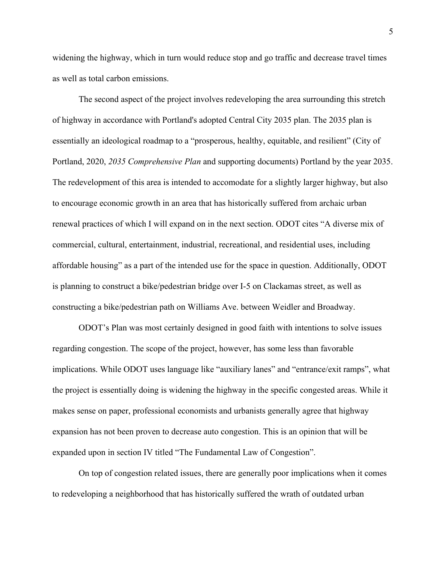widening the highway, which in turn would reduce stop and go traffic and decrease travel times as well as total carbon emissions.

The second aspect of the project involves redeveloping the area surrounding this stretch of highway in accordance with Portland's adopted Central City 2035 plan. The 2035 plan is essentially an ideological roadmap to a "prosperous, healthy, equitable, and resilient" (City of Portland, 2020, *2035 Comprehensive Plan* and supporting documents) Portland by the year 2035. The redevelopment of this area is intended to accomodate for a slightly larger highway, but also to encourage economic growth in an area that has historically suffered from archaic urban renewal practices of which I will expand on in the next section. ODOT cites "A diverse mix of commercial, cultural, entertainment, industrial, recreational, and residential uses, including affordable housing" as a part of the intended use for the space in question. Additionally, ODOT is planning to construct a bike/pedestrian bridge over I-5 on Clackamas street, as well as constructing a bike/pedestrian path on Williams Ave. between Weidler and Broadway.

ODOT's Plan was most certainly designed in good faith with intentions to solve issues regarding congestion. The scope of the project, however, has some less than favorable implications. While ODOT uses language like "auxiliary lanes" and "entrance/exit ramps", what the project is essentially doing is widening the highway in the specific congested areas. While it makes sense on paper, professional economists and urbanists generally agree that highway expansion has not been proven to decrease auto congestion. This is an opinion that will be expanded upon in section IV titled "The Fundamental Law of Congestion".

On top of congestion related issues, there are generally poor implications when it comes to redeveloping a neighborhood that has historically suffered the wrath of outdated urban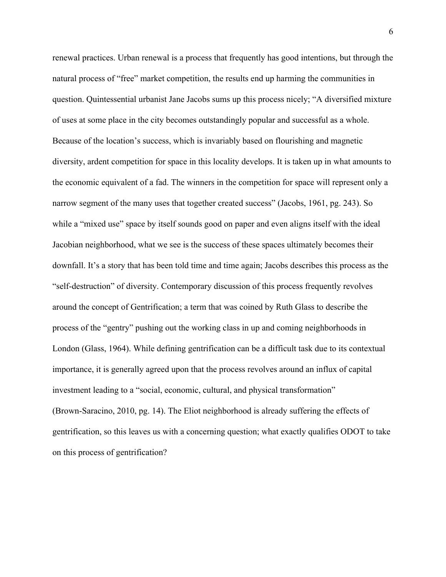renewal practices. Urban renewal is a process that frequently has good intentions, but through the natural process of "free" market competition, the results end up harming the communities in question. Quintessential urbanist Jane Jacobs sums up this process nicely; "A diversified mixture of uses at some place in the city becomes outstandingly popular and successful as a whole. Because of the location's success, which is invariably based on flourishing and magnetic diversity, ardent competition for space in this locality develops. It is taken up in what amounts to the economic equivalent of a fad. The winners in the competition for space will represent only a narrow segment of the many uses that together created success" (Jacobs, 1961, pg. 243). So while a "mixed use" space by itself sounds good on paper and even aligns itself with the ideal Jacobian neighborhood, what we see is the success of these spaces ultimately becomes their downfall. It's a story that has been told time and time again; Jacobs describes this process as the "self-destruction" of diversity. Contemporary discussion of this process frequently revolves around the concept of Gentrification; a term that was coined by Ruth Glass to describe the process of the "gentry" pushing out the working class in up and coming neighborhoods in London (Glass, 1964). While defining gentrification can be a difficult task due to its contextual importance, it is generally agreed upon that the process revolves around an influx of capital investment leading to a "social, economic, cultural, and physical transformation" (Brown-Saracino, 2010, pg. 14). The Eliot neighborhood is already suffering the effects of gentrification, so this leaves us with a concerning question; what exactly qualifies ODOT to take on this process of gentrification?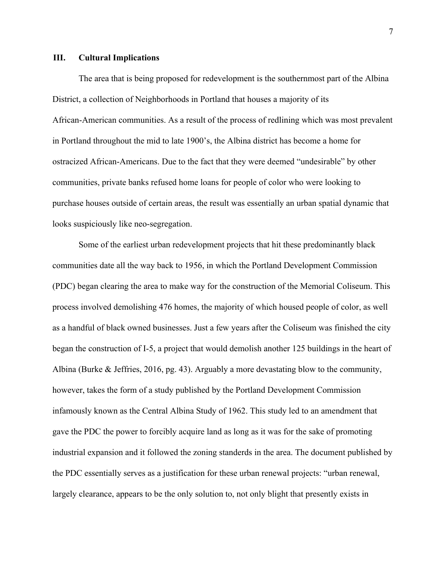#### <span id="page-8-0"></span>**III. Cultural Implications**

The area that is being proposed for redevelopment is the southernmost part of the Albina District, a collection of Neighborhoods in Portland that houses a majority of its African-American communities. As a result of the process of redlining which was most prevalent in Portland throughout the mid to late 1900's, the Albina district has become a home for ostracized African-Americans. Due to the fact that they were deemed "undesirable" by other communities, private banks refused home loans for people of color who were looking to purchase houses outside of certain areas, the result was essentially an urban spatial dynamic that looks suspiciously like neo-segregation.

Some of the earliest urban redevelopment projects that hit these predominantly black communities date all the way back to 1956, in which the Portland Development Commission (PDC) began clearing the area to make way for the construction of the Memorial Coliseum. This process involved demolishing 476 homes, the majority of which housed people of color, as well as a handful of black owned businesses. Just a few years after the Coliseum was finished the city began the construction of I-5, a project that would demolish another 125 buildings in the heart of Albina (Burke & Jeffries, 2016, pg. 43). Arguably a more devastating blow to the community, however, takes the form of a study published by the Portland Development Commission infamously known as the Central Albina Study of 1962. This study led to an amendment that gave the PDC the power to forcibly acquire land as long as it was for the sake of promoting industrial expansion and it followed the zoning standerds in the area. The document published by the PDC essentially serves as a justification for these urban renewal projects: "urban renewal, largely clearance, appears to be the only solution to, not only blight that presently exists in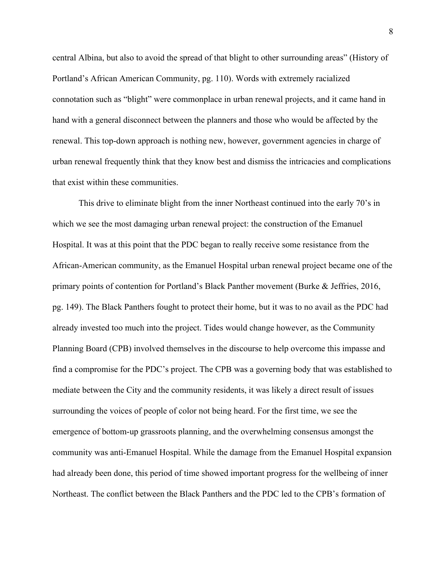central Albina, but also to avoid the spread of that blight to other surrounding areas" (History of Portland's African American Community, pg. 110). Words with extremely racialized connotation such as "blight" were commonplace in urban renewal projects, and it came hand in hand with a general disconnect between the planners and those who would be affected by the renewal. This top-down approach is nothing new, however, government agencies in charge of urban renewal frequently think that they know best and dismiss the intricacies and complications that exist within these communities.

This drive to eliminate blight from the inner Northeast continued into the early 70's in which we see the most damaging urban renewal project: the construction of the Emanuel Hospital. It was at this point that the PDC began to really receive some resistance from the African-American community, as the Emanuel Hospital urban renewal project became one of the primary points of contention for Portland's Black Panther movement (Burke & Jeffries, 2016, pg. 149). The Black Panthers fought to protect their home, but it was to no avail as the PDC had already invested too much into the project. Tides would change however, as the Community Planning Board (CPB) involved themselves in the discourse to help overcome this impasse and find a compromise for the PDC's project. The CPB was a governing body that was established to mediate between the City and the community residents, it was likely a direct result of issues surrounding the voices of people of color not being heard. For the first time, we see the emergence of bottom-up grassroots planning, and the overwhelming consensus amongst the community was anti-Emanuel Hospital. While the damage from the Emanuel Hospital expansion had already been done, this period of time showed important progress for the wellbeing of inner Northeast. The conflict between the Black Panthers and the PDC led to the CPB's formation of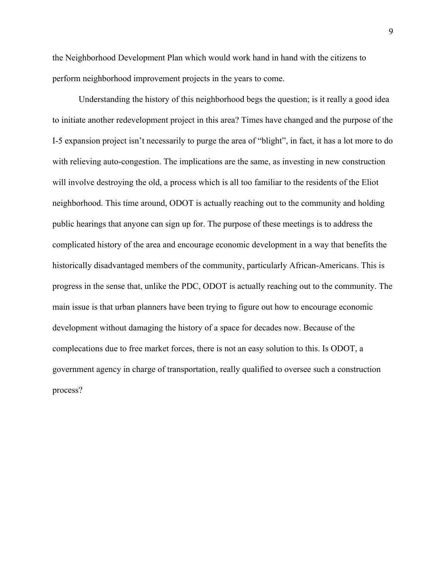the Neighborhood Development Plan which would work hand in hand with the citizens to perform neighborhood improvement projects in the years to come.

Understanding the history of this neighborhood begs the question; is it really a good idea to initiate another redevelopment project in this area? Times have changed and the purpose of the I-5 expansion project isn't necessarily to purge the area of "blight", in fact, it has a lot more to do with relieving auto-congestion. The implications are the same, as investing in new construction will involve destroying the old, a process which is all too familiar to the residents of the Eliot neighborhood. This time around, ODOT is actually reaching out to the community and holding public hearings that anyone can sign up for. The purpose of these meetings is to address the complicated history of the area and encourage economic development in a way that benefits the historically disadvantaged members of the community, particularly African-Americans. This is progress in the sense that, unlike the PDC, ODOT is actually reaching out to the community. The main issue is that urban planners have been trying to figure out how to encourage economic development without damaging the history of a space for decades now. Because of the complecations due to free market forces, there is not an easy solution to this. Is ODOT, a government agency in charge of transportation, really qualified to oversee such a construction process?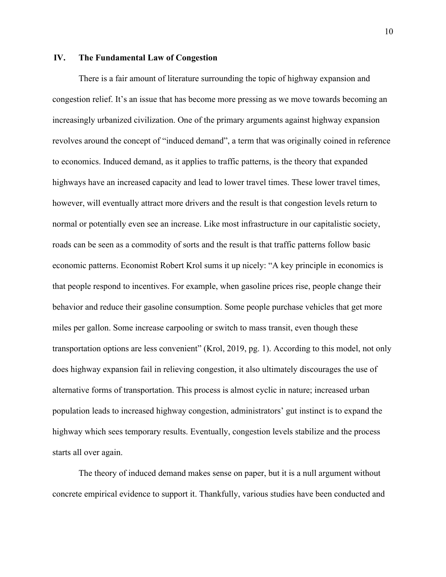### <span id="page-11-0"></span>**IV. The Fundamental Law of Congestion**

There is a fair amount of literature surrounding the topic of highway expansion and congestion relief. It's an issue that has become more pressing as we move towards becoming an increasingly urbanized civilization. One of the primary arguments against highway expansion revolves around the concept of "induced demand", a term that was originally coined in reference to economics. Induced demand, as it applies to traffic patterns, is the theory that expanded highways have an increased capacity and lead to lower travel times. These lower travel times, however, will eventually attract more drivers and the result is that congestion levels return to normal or potentially even see an increase. Like most infrastructure in our capitalistic society, roads can be seen as a commodity of sorts and the result is that traffic patterns follow basic economic patterns. Economist Robert Krol sums it up nicely: "A key principle in economics is that people respond to incentives. For example, when gasoline prices rise, people change their behavior and reduce their gasoline consumption. Some people purchase vehicles that get more miles per gallon. Some increase carpooling or switch to mass transit, even though these transportation options are less convenient" (Krol, 2019, pg. 1). According to this model, not only does highway expansion fail in relieving congestion, it also ultimately discourages the use of alternative forms of transportation. This process is almost cyclic in nature; increased urban population leads to increased highway congestion, administrators' gut instinct is to expand the highway which sees temporary results. Eventually, congestion levels stabilize and the process starts all over again.

The theory of induced demand makes sense on paper, but it is a null argument without concrete empirical evidence to support it. Thankfully, various studies have been conducted and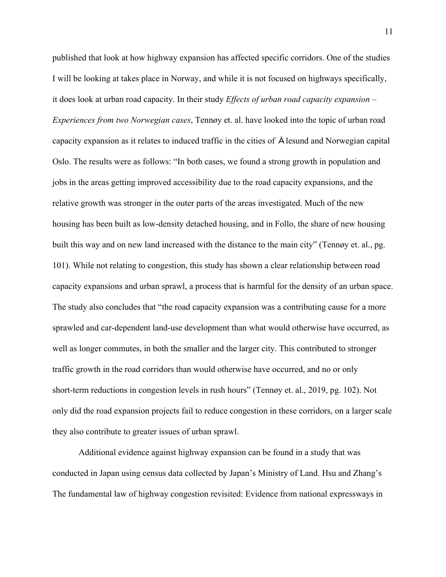published that look at how highway expansion has affected specific corridors. One of the studies I will be looking at takes place in Norway, and while it is not focused on highways specifically, it does look at urban road capacity. In their study *Effects of urban road capacity expansion – Experiences from two Norwegian cases*, Tennøy et. al. have looked into the topic of urban road capacity expansion as it relates to induced traffic in the cities of Ålesund and Norwegian capital Oslo. The results were as follows: "In both cases, we found a strong growth in population and jobs in the areas getting improved accessibility due to the road capacity expansions, and the relative growth was stronger in the outer parts of the areas investigated. Much of the new housing has been built as low-density detached housing, and in Follo, the share of new housing built this way and on new land increased with the distance to the main city" (Tennøy et. al., pg. 101). While not relating to congestion, this study has shown a clear relationship between road capacity expansions and urban sprawl, a process that is harmful for the density of an urban space. The study also concludes that "the road capacity expansion was a contributing cause for a more sprawled and car-dependent land-use development than what would otherwise have occurred, as well as longer commutes, in both the smaller and the larger city. This contributed to stronger traffic growth in the road corridors than would otherwise have occurred, and no or only short-term reductions in congestion levels in rush hours" (Tennøy et. al., 2019, pg. 102). Not only did the road expansion projects fail to reduce congestion in these corridors, on a larger scale they also contribute to greater issues of urban sprawl.

Additional evidence against highway expansion can be found in a study that was conducted in Japan using census data collected by Japan's Ministry of Land. Hsu and Zhang's The fundamental law of highway congestion revisited: Evidence from national expressways in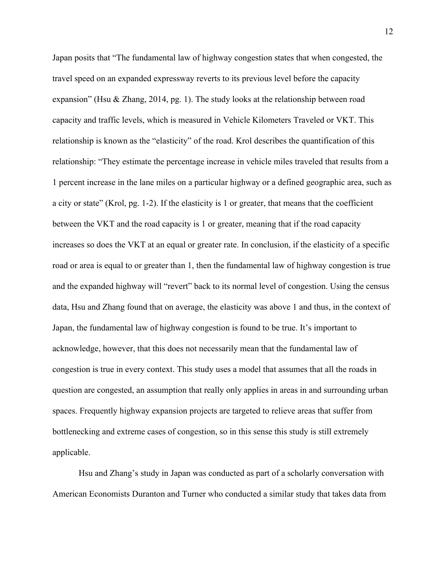Japan posits that "The fundamental law of highway congestion states that when congested, the travel speed on an expanded expressway reverts to its previous level before the capacity expansion" (Hsu & Zhang, 2014, pg. 1). The study looks at the relationship between road capacity and traffic levels, which is measured in Vehicle Kilometers Traveled or VKT. This relationship is known as the "elasticity" of the road. Krol describes the quantification of this relationship: "They estimate the percentage increase in vehicle miles traveled that results from a 1 percent increase in the lane miles on a particular highway or a defined geographic area, such as a city or state" (Krol, pg. 1-2). If the elasticity is 1 or greater, that means that the coefficient between the VKT and the road capacity is 1 or greater, meaning that if the road capacity increases so does the VKT at an equal or greater rate. In conclusion, if the elasticity of a specific road or area is equal to or greater than 1, then the fundamental law of highway congestion is true and the expanded highway will "revert" back to its normal level of congestion. Using the census data, Hsu and Zhang found that on average, the elasticity was above 1 and thus, in the context of Japan, the fundamental law of highway congestion is found to be true. It's important to acknowledge, however, that this does not necessarily mean that the fundamental law of congestion is true in every context. This study uses a model that assumes that all the roads in question are congested, an assumption that really only applies in areas in and surrounding urban spaces. Frequently highway expansion projects are targeted to relieve areas that suffer from bottlenecking and extreme cases of congestion, so in this sense this study is still extremely applicable.

Hsu and Zhang's study in Japan was conducted as part of a scholarly conversation with American Economists Duranton and Turner who conducted a similar study that takes data from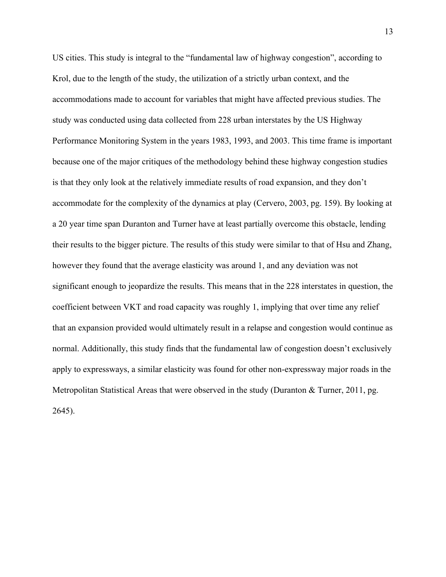US cities. This study is integral to the "fundamental law of highway congestion", according to Krol, due to the length of the study, the utilization of a strictly urban context, and the accommodations made to account for variables that might have affected previous studies. The study was conducted using data collected from 228 urban interstates by the US Highway Performance Monitoring System in the years 1983, 1993, and 2003. This time frame is important because one of the major critiques of the methodology behind these highway congestion studies is that they only look at the relatively immediate results of road expansion, and they don't accommodate for the complexity of the dynamics at play (Cervero, 2003, pg. 159). By looking at a 20 year time span Duranton and Turner have at least partially overcome this obstacle, lending their results to the bigger picture. The results of this study were similar to that of Hsu and Zhang, however they found that the average elasticity was around 1, and any deviation was not significant enough to jeopardize the results. This means that in the 228 interstates in question, the coefficient between VKT and road capacity was roughly 1, implying that over time any relief that an expansion provided would ultimately result in a relapse and congestion would continue as normal. Additionally, this study finds that the fundamental law of congestion doesn't exclusively apply to expressways, a similar elasticity was found for other non-expressway major roads in the Metropolitan Statistical Areas that were observed in the study (Duranton & Turner, 2011, pg. 2645).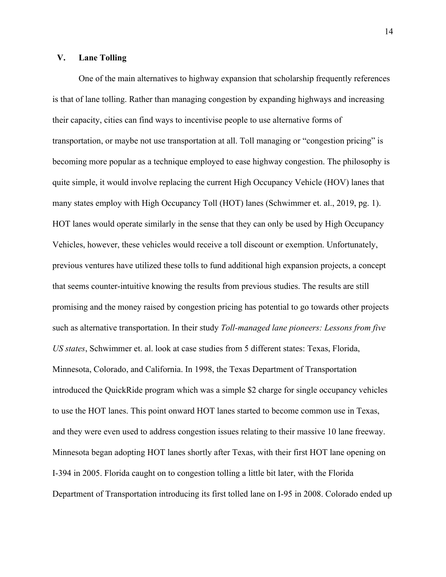# <span id="page-15-0"></span>**V. Lane Tolling**

One of the main alternatives to highway expansion that scholarship frequently references is that of lane tolling. Rather than managing congestion by expanding highways and increasing their capacity, cities can find ways to incentivise people to use alternative forms of transportation, or maybe not use transportation at all. Toll managing or "congestion pricing" is becoming more popular as a technique employed to ease highway congestion. The philosophy is quite simple, it would involve replacing the current High Occupancy Vehicle (HOV) lanes that many states employ with High Occupancy Toll (HOT) lanes (Schwimmer et. al., 2019, pg. 1). HOT lanes would operate similarly in the sense that they can only be used by High Occupancy Vehicles, however, these vehicles would receive a toll discount or exemption. Unfortunately, previous ventures have utilized these tolls to fund additional high expansion projects, a concept that seems counter-intuitive knowing the results from previous studies. The results are still promising and the money raised by congestion pricing has potential to go towards other projects such as alternative transportation. In their study *Toll-managed lane pioneers: Lessons from five US states*, Schwimmer et. al. look at case studies from 5 different states: Texas, Florida, Minnesota, Colorado, and California. In 1998, the Texas Department of Transportation introduced the QuickRide program which was a simple \$2 charge for single occupancy vehicles to use the HOT lanes. This point onward HOT lanes started to become common use in Texas, and they were even used to address congestion issues relating to their massive 10 lane freeway. Minnesota began adopting HOT lanes shortly after Texas, with their first HOT lane opening on I-394 in 2005. Florida caught on to congestion tolling a little bit later, with the Florida Department of Transportation introducing its first tolled lane on I-95 in 2008. Colorado ended up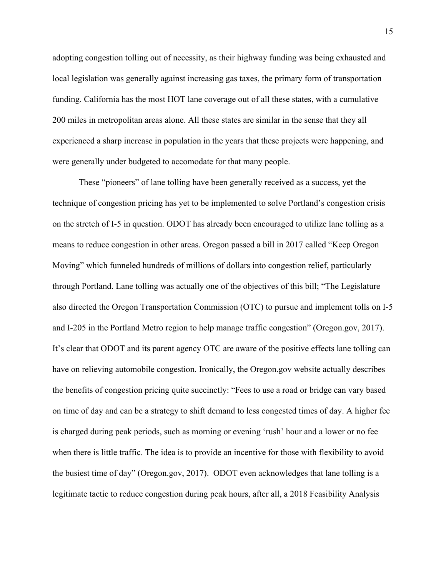adopting congestion tolling out of necessity, as their highway funding was being exhausted and local legislation was generally against increasing gas taxes, the primary form of transportation funding. California has the most HOT lane coverage out of all these states, with a cumulative 200 miles in metropolitan areas alone. All these states are similar in the sense that they all experienced a sharp increase in population in the years that these projects were happening, and were generally under budgeted to accomodate for that many people.

These "pioneers" of lane tolling have been generally received as a success, yet the technique of congestion pricing has yet to be implemented to solve Portland's congestion crisis on the stretch of I-5 in question. ODOT has already been encouraged to utilize lane tolling as a means to reduce congestion in other areas. Oregon passed a bill in 2017 called "Keep Oregon Moving" which funneled hundreds of millions of dollars into congestion relief, particularly through Portland. Lane tolling was actually one of the objectives of this bill; "The Legislature also directed the Oregon Transportation Commission (OTC) to pursue and implement tolls on I-5 and I-205 in the Portland Metro region to help manage traffic congestion" (Oregon.gov, 2017). It's clear that ODOT and its parent agency OTC are aware of the positive effects lane tolling can have on relieving automobile congestion. Ironically, the Oregon.gov website actually describes the benefits of congestion pricing quite succinctly: "Fees to use a road or bridge can vary based on time of day and can be a strategy to shift demand to less congested times of day. A higher fee is charged during peak periods, such as morning or evening 'rush' hour and a lower or no fee when there is little traffic. The idea is to provide an incentive for those with flexibility to avoid the busiest time of day" (Oregon.gov, 2017). ODOT even acknowledges that lane tolling is a legitimate tactic to reduce congestion during peak hours, after all, a 2018 Feasibility Analysis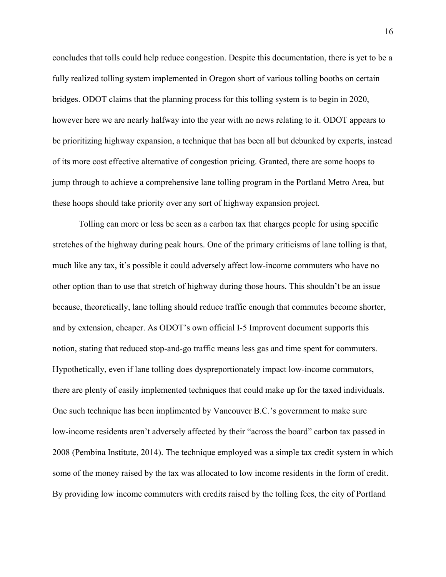concludes that tolls could help reduce congestion. Despite this documentation, there is yet to be a fully realized tolling system implemented in Oregon short of various tolling booths on certain bridges. ODOT claims that the planning process for this tolling system is to begin in 2020, however here we are nearly halfway into the year with no news relating to it. ODOT appears to be prioritizing highway expansion, a technique that has been all but debunked by experts, instead of its more cost effective alternative of congestion pricing. Granted, there are some hoops to jump through to achieve a comprehensive lane tolling program in the Portland Metro Area, but these hoops should take priority over any sort of highway expansion project.

Tolling can more or less be seen as a carbon tax that charges people for using specific stretches of the highway during peak hours. One of the primary criticisms of lane tolling is that, much like any tax, it's possible it could adversely affect low-income commuters who have no other option than to use that stretch of highway during those hours. This shouldn't be an issue because, theoretically, lane tolling should reduce traffic enough that commutes become shorter, and by extension, cheaper. As ODOT's own official I-5 Improvent document supports this notion, stating that reduced stop-and-go traffic means less gas and time spent for commuters. Hypothetically, even if lane tolling does dyspreportionately impact low-income commutors, there are plenty of easily implemented techniques that could make up for the taxed individuals. One such technique has been implimented by Vancouver B.C.'s government to make sure low-income residents aren't adversely affected by their "across the board" carbon tax passed in 2008 (Pembina Institute, 2014). The technique employed was a simple tax credit system in which some of the money raised by the tax was allocated to low income residents in the form of credit. By providing low income commuters with credits raised by the tolling fees, the city of Portland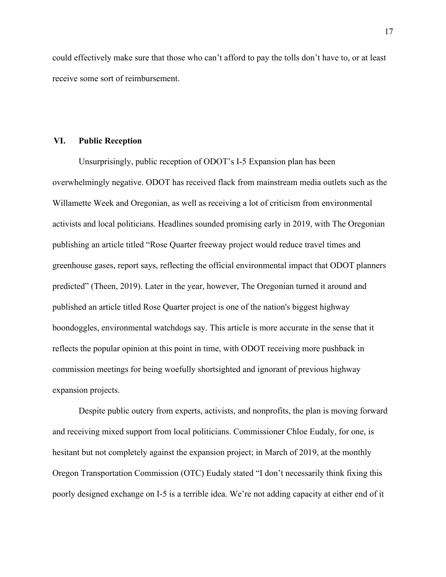could effectively make sure that those who can't afford to pay the tolls don't have to, or at least receive some sort of reimbursement.

#### <span id="page-18-0"></span>**VI. Public Reception**

Unsurprisingly, public reception of ODOT's I-5 Expansion plan has been overwhelmingly negative. ODOT has received flack from mainstream media outlets such as the Willamette Week and Oregonian, as well as receiving a lot of criticism from environmental activists and local politicians. Headlines sounded promising early in 2019, with The Oregonian publishing an article titled "Rose Quarter freeway project would reduce travel times and greenhouse gases, report says, reflecting the official environmental impact that ODOT planners predicted" (Theen, 2019). Later in the year, however, The Oregonian turned it around and published an article titled Rose Quarter project is one of the nation's biggest highway boondoggles, environmental watchdogs say. This article is more accurate in the sense that it reflects the popular opinion at this point in time, with ODOT receiving more pushback in commission meetings for being woefully shortsighted and ignorant of previous highway expansion projects.

Despite public outcry from experts, activists, and nonprofits, the plan is moving forward and receiving mixed support from local politicians. Commissioner Chloe Eudaly, for one, is hesitant but not completely against the expansion project; in March of 2019, at the monthly Oregon Transportation Commission (OTC) Eudaly stated "I don't necessarily think fixing this poorly designed exchange on I-5 is a terrible idea. We're not adding capacity at either end of it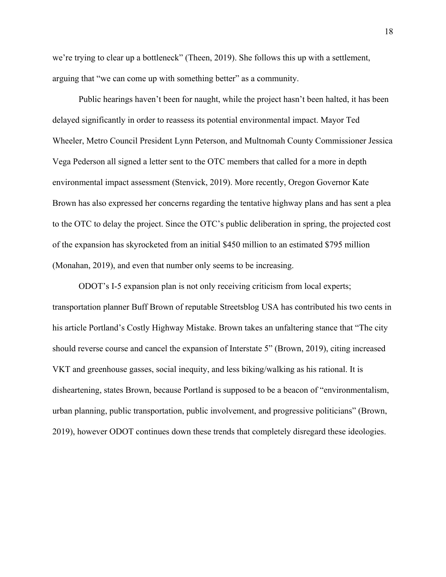we're trying to clear up a bottleneck" (Theen, 2019). She follows this up with a settlement, arguing that "we can come up with something better" as a community.

Public hearings haven't been for naught, while the project hasn't been halted, it has been delayed significantly in order to reassess its potential environmental impact. Mayor Ted Wheeler, Metro Council President Lynn Peterson, and Multnomah County Commissioner Jessica Vega Pederson all signed a letter sent to the OTC members that called for a more in depth environmental impact assessment (Stenvick, 2019). More recently, Oregon Governor Kate Brown has also expressed her concerns regarding the tentative highway plans and has sent a plea to the OTC to delay the project. Since the OTC's public deliberation in spring, the projected cost of the expansion has skyrocketed from an initial \$450 million to an estimated \$795 million (Monahan, 2019), and even that number only seems to be increasing.

ODOT's I-5 expansion plan is not only receiving criticism from local experts; transportation planner Buff Brown of reputable Streetsblog USA has contributed his two cents in his article Portland's Costly Highway Mistake. Brown takes an unfaltering stance that "The city should reverse course and cancel the expansion of Interstate 5" (Brown, 2019), citing increased VKT and greenhouse gasses, social inequity, and less biking/walking as his rational. It is disheartening, states Brown, because Portland is supposed to be a beacon of "environmentalism, urban planning, public transportation, public involvement, and progressive politicians" (Brown, 2019), however ODOT continues down these trends that completely disregard these ideologies.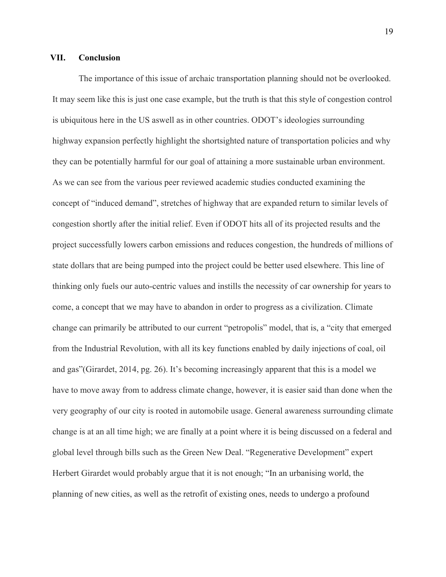#### <span id="page-20-0"></span>**VII. Conclusion**

The importance of this issue of archaic transportation planning should not be overlooked. It may seem like this is just one case example, but the truth is that this style of congestion control is ubiquitous here in the US aswell as in other countries. ODOT's ideologies surrounding highway expansion perfectly highlight the shortsighted nature of transportation policies and why they can be potentially harmful for our goal of attaining a more sustainable urban environment. As we can see from the various peer reviewed academic studies conducted examining the concept of "induced demand", stretches of highway that are expanded return to similar levels of congestion shortly after the initial relief. Even if ODOT hits all of its projected results and the project successfully lowers carbon emissions and reduces congestion, the hundreds of millions of state dollars that are being pumped into the project could be better used elsewhere. This line of thinking only fuels our auto-centric values and instills the necessity of car ownership for years to come, a concept that we may have to abandon in order to progress as a civilization. Climate change can primarily be attributed to our current "petropolis" model, that is, a "city that emerged from the Industrial Revolution, with all its key functions enabled by daily injections of coal, oil and gas"(Girardet, 2014, pg. 26). It's becoming increasingly apparent that this is a model we have to move away from to address climate change, however, it is easier said than done when the very geography of our city is rooted in automobile usage. General awareness surrounding climate change is at an all time high; we are finally at a point where it is being discussed on a federal and global level through bills such as the Green New Deal. "Regenerative Development" expert Herbert Girardet would probably argue that it is not enough; "In an urbanising world, the planning of new cities, as well as the retrofit of existing ones, needs to undergo a profound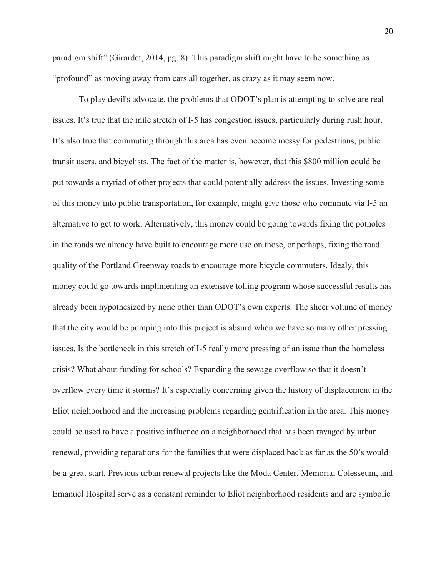paradigm shift" (Girardet, 2014, pg. 8). This paradigm shift might have to be something as "profound" as moving away from cars all together, as crazy as it may seem now.

To play devil's advocate, the problems that ODOT's plan is attempting to solve are real issues. It's true that the mile stretch of I-5 has congestion issues, particularly during rush hour. It's also true that commuting through this area has even become messy for pedestrians, public transit users, and bicyclists. The fact of the matter is, however, that this \$800 million could be put towards a myriad of other projects that could potentially address the issues. Investing some of this money into public transportation, for example, might give those who commute via I-5 an alternative to get to work. Alternatively, this money could be going towards fixing the potholes in the roads we already have built to encourage more use on those, or perhaps, fixing the road quality of the Portland Greenway roads to encourage more bicycle commuters. Idealy, this money could go towards implimenting an extensive tolling program whose successful results has already been hypothesized by none other than ODOT's own experts. The sheer volume of money that the city would be pumping into this project is absurd when we have so many other pressing issues. Is the bottleneck in this stretch of I-5 really more pressing of an issue than the homeless crisis? What about funding for schools? Expanding the sewage overflow so that it doesn't overflow every time it storms? It's especially concerning given the history of displacement in the Eliot neighborhood and the increasing problems regarding gentrification in the area. This money could be used to have a positive influence on a neighborhood that has been ravaged by urban renewal, providing reparations for the families that were displaced back as far as the 50's would be a great start. Previous urban renewal projects like the Moda Center, Memorial Colesseum, and Emanuel Hospital serve as a constant reminder to Eliot neighborhood residents and are symbolic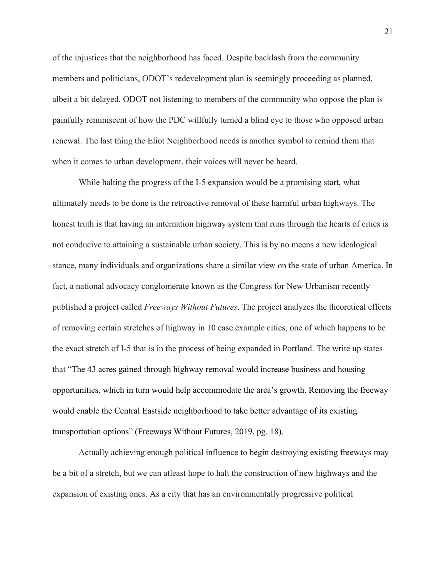of the injustices that the neighborhood has faced. Despite backlash from the community members and politicians, ODOT's redevelopment plan is seemingly proceeding as planned, albeit a bit delayed. ODOT not listening to members of the community who oppose the plan is painfully reminiscent of how the PDC willfully turned a blind eye to those who opposed urban renewal. The last thing the Eliot Neighborhood needs is another symbol to remind them that when it comes to urban development, their voices will never be heard.

While halting the progress of the I-5 expansion would be a promising start, what ultimately needs to be done is the retroactive removal of these harmful urban highways. The honest truth is that having an internation highway system that runs through the hearts of cities is not conducive to attaining a sustainable urban society. This is by no meens a new idealogical stance, many individuals and organizations share a similar view on the state of urban America. In fact, a national advocacy conglomerate known as the Congress for New Urbanism recently published a project called *Freeways Without Futures*. The project analyzes the theoretical effects of removing certain stretches of highway in 10 case example cities, one of which happens to be the exact stretch of I-5 that is in the process of being expanded in Portland. The write up states that "The 43 acres gained through highway removal would increase business and housing opportunities, which in turn would help accommodate the area's growth. Removing the freeway would enable the Central Eastside neighborhood to take better advantage of its existing transportation options" (Freeways Without Futures, 2019, pg. 18).

Actually achieving enough political influence to begin destroying existing freeways may be a bit of a stretch, but we can atleast hope to halt the construction of new highways and the expansion of existing ones. As a city that has an environmentally progressive political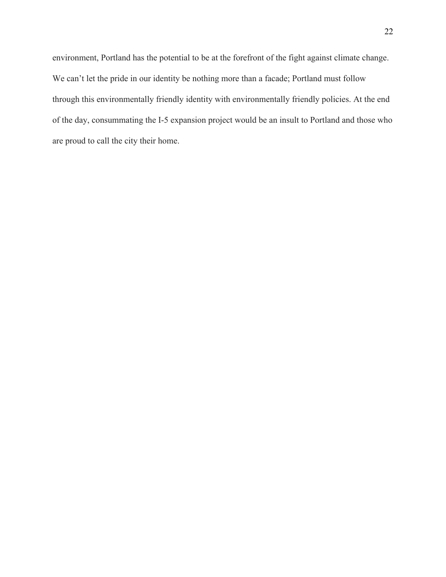environment, Portland has the potential to be at the forefront of the fight against climate change. We can't let the pride in our identity be nothing more than a facade; Portland must follow through this environmentally friendly identity with environmentally friendly policies. At the end of the day, consummating the I-5 expansion project would be an insult to Portland and those who are proud to call the city their home.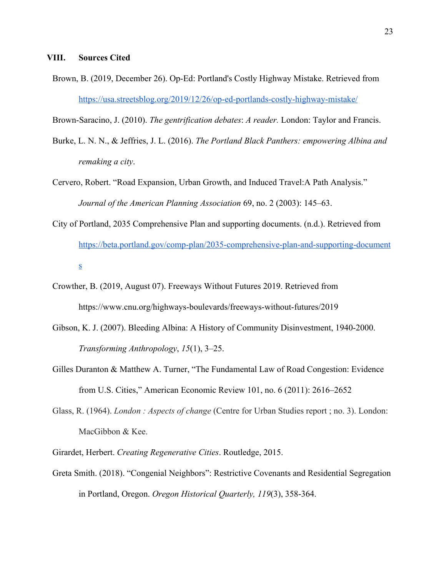<span id="page-24-0"></span>Brown, B. (2019, December 26). Op-Ed: Portland's Costly Highway Mistake. Retrieved from <https://usa.streetsblog.org/2019/12/26/op-ed-portlands-costly-highway-mistake/>

Brown-Saracino, J. (2010). *The gentrification debates*: *A reader.* London: Taylor and Francis.

- Burke, L. N. N., & Jeffries, J. L. (2016). *The Portland Black Panthers: empowering Albina and remaking a city*.
- Cervero, Robert. "Road Expansion, Urban Growth, and Induced Travel:A Path Analysis." *Journal of the American Planning Association* 69, no. 2 (2003): 145–63.
- City of Portland, 2035 Comprehensive Plan and supporting documents. (n.d.). Retrieved from [https://beta.portland.gov/comp-plan/2035-comprehensive-plan-and-supporting-document](https://beta.portland.gov/comp-plan/2035-comprehensive-plan-and-supporting-documents) [s](https://beta.portland.gov/comp-plan/2035-comprehensive-plan-and-supporting-documents)
- Crowther, B. (2019, August 07). Freeways Without Futures 2019. Retrieved from https://www.cnu.org/highways-boulevards/freeways-without-futures/2019
- Gibson, K. J. (2007). Bleeding Albina: A History of Community Disinvestment, 1940-2000. *Transforming Anthropology*, *15*(1), 3–25.
- Gilles Duranton & Matthew A. Turner, "The Fundamental Law of Road Congestion: Evidence from U.S. Cities," American Economic Review 101, no. 6 (2011): 2616–2652
- Glass, R. (1964). *London : Aspects of change* (Centre for Urban Studies report ; no. 3). London: MacGibbon & Kee.
- Girardet, Herbert. *Creating Regenerative Cities*. Routledge, 2015.
- Greta Smith. (2018). "Congenial Neighbors": Restrictive Covenants and Residential Segregation in Portland, Oregon. *Oregon Historical Quarterly, 119*(3), 358-364.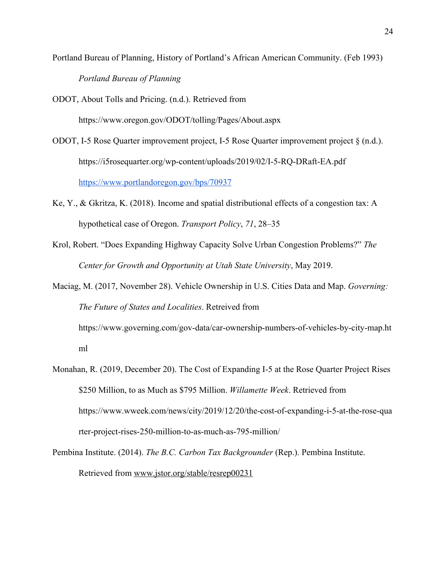Portland Bureau of Planning, History of Portland's African American Community. (Feb 1993) *Portland Bureau of Planning*

ODOT, About Tolls and Pricing. (n.d.). Retrieved from

https://www.oregon.gov/ODOT/tolling/Pages/About.aspx

ODOT, I-5 Rose Quarter improvement project, I-5 Rose Quarter improvement project § (n.d.). https://i5rosequarter.org/wp-content/uploads/2019/02/I-5-RQ-DRaft-EA.pdf <https://www.portlandoregon.gov/bps/70937>

- Ke, Y., & Gkritza, K. (2018). Income and spatial distributional effects of a congestion tax: A hypothetical case of Oregon. *Transport Policy*, *71*, 28–35
- Krol, Robert. "Does Expanding Highway Capacity Solve Urban Congestion Problems?" *The Center for Growth and Opportunity at Utah State University*, May 2019.

Maciag, M. (2017, November 28). Vehicle Ownership in U.S. Cities Data and Map. *Governing: The Future of States and Localities*. Retreived from https://www.governing.com/gov-data/car-ownership-numbers-of-vehicles-by-city-map.ht

ml

Monahan, R. (2019, December 20). The Cost of Expanding I-5 at the Rose Quarter Project Rises \$250 Million, to as Much as \$795 Million. *Willamette Week*. Retrieved from https://www.wweek.com/news/city/2019/12/20/the-cost-of-expanding-i-5-at-the-rose-qua rter-project-rises-250-million-to-as-much-as-795-million/

Pembina Institute. (2014). *The B.C. Carbon Tax Backgrounder* (Rep.). Pembina Institute. Retrieved from [www.jstor.org/stable/resrep00231](http://www.jstor.org/stable/resrep00231)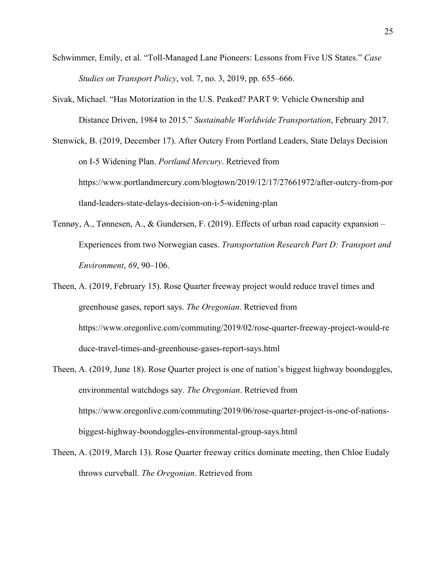- Schwimmer, Emily, et al. "Toll-Managed Lane Pioneers: Lessons from Five US States." *Case Studies on Transport Policy*, vol. 7, no. 3, 2019, pp. 655–666.
- Sivak, Michael. "Has Motorization in the U.S. Peaked? PART 9: Vehicle Ownership and Distance Driven, 1984 to 2015." *Sustainable Worldwide Transportation*, February 2017.
- Stenwick, B. (2019, December 17). After Outcry From Portland Leaders, State Delays Decision on I-5 Widening Plan. *Portland Mercury*. Retrieved from https://www.portlandmercury.com/blogtown/2019/12/17/27661972/after-outcry-from-por tland-leaders-state-delays-decision-on-i-5-widening-plan
- Tennøy, A., Tønnesen, A., & Gundersen, F. (2019). Effects of urban road capacity expansion Experiences from two Norwegian cases. *Transportation Research Part D: Transport and Environment*, *69*, 90–106.
- Theen, A. (2019, February 15). Rose Quarter freeway project would reduce travel times and greenhouse gases, report says. *The Oregonian*. Retrieved from https://www.oregonlive.com/commuting/2019/02/rose-quarter-freeway-project-would-re duce-travel-times-and-greenhouse-gases-report-says.html
- Theen, A. (2019, June 18). Rose Quarter project is one of nation's biggest highway boondoggles, environmental watchdogs say. *The Oregonian*. Retrieved from https://www.oregonlive.com/commuting/2019/06/rose-quarter-project-is-one-of-nationsbiggest-highway-boondoggles-environmental-group-says.html
- Theen, A. (2019, March 13). Rose Quarter freeway critics dominate meeting, then Chloe Eudaly throws curveball. *The Oregonian*. Retrieved from